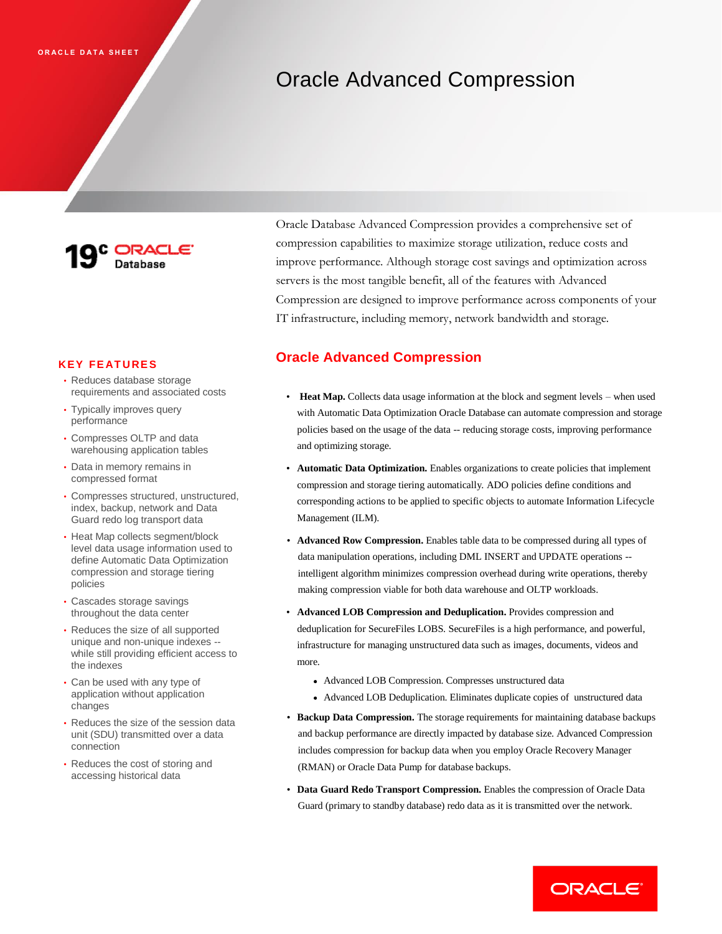## Oracle Advanced Compression



## **KEY FE AT U RE S**

- Reduces database storage requirements and associated costs
- Typically improves query performance
- Compresses OLTP and data warehousing application tables
- Data in memory remains in compressed format
- Compresses structured, unstructured, index, backup, network and Data Guard redo log transport data
- Heat Map collects segment/block level data usage information used to define Automatic Data Optimization compression and storage tiering policies
- Cascades storage savings throughout the data center
- Reduces the size of all supported unique and non-unique indexes - while still providing efficient access to the indexes
- Can be used with any type of application without application changes
- Reduces the size of the session data unit (SDU) transmitted over a data connection
- Reduces the cost of storing and accessing historical data

Oracle Database Advanced Compression provides a comprehensive set of compression capabilities to maximize storage utilization, reduce costs and improve performance. Although storage cost savings and optimization across servers is the most tangible benefit, all of the features with Advanced Compression are designed to improve performance across components of your IT infrastructure, including memory, network bandwidth and storage.

## **Oracle Advanced Compression**

- **Heat Map.** Collects data usage information at the block and segment levels when used with Automatic Data Optimization Oracle Database can automate compression and storage policies based on the usage of the data -- reducing storage costs, improving performance and optimizing storage.
- **Automatic Data Optimization.** Enables organizations to create policies that implement compression and storage tiering automatically. ADO policies define conditions and corresponding actions to be applied to specific objects to automate Information Lifecycle Management (ILM).
- **Advanced Row Compression.** Enables table data to be compressed during all types of data manipulation operations, including DML INSERT and UPDATE operations - intelligent algorithm minimizes compression overhead during write operations, thereby making compression viable for both data warehouse and OLTP workloads.
- **Advanced LOB Compression and Deduplication.** Provides compression and deduplication for SecureFiles LOBS. SecureFiles is a high performance, and powerful, infrastructure for managing unstructured data such as images, documents, videos and more.
	- Advanced LOB Compression. Compresses unstructured data
	- Advanced LOB Deduplication. Eliminates duplicate copies of unstructured data
- **Backup Data Compression.** The storage requirements for maintaining database backups and backup performance are directly impacted by database size. Advanced Compression includes compression for backup data when you employ Oracle Recovery Manager (RMAN) or Oracle Data Pump for database backups.
- **Data Guard Redo Transport Compression.** Enables the compression of Oracle Data Guard (primary to standby database) redo data as it is transmitted over the network.